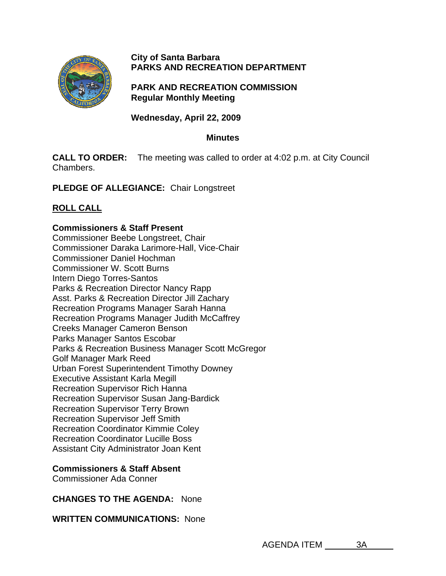

## **City of Santa Barbara PARKS AND RECREATION DEPARTMENT**

**PARK AND RECREATION COMMISSION Regular Monthly Meeting** 

**Wednesday, April 22, 2009** 

#### **Minutes**

**CALL TO ORDER:** The meeting was called to order at 4:02 p.m. at City Council Chambers.

**PLEDGE OF ALLEGIANCE:** Chair Longstreet

# **ROLL CALL**

# **Commissioners & Staff Present**

Commissioner Beebe Longstreet, Chair Commissioner Daraka Larimore-Hall, Vice-Chair Commissioner Daniel Hochman Commissioner W. Scott Burns Intern Diego Torres-Santos Parks & Recreation Director Nancy Rapp Asst. Parks & Recreation Director Jill Zachary Recreation Programs Manager Sarah Hanna Recreation Programs Manager Judith McCaffrey Creeks Manager Cameron Benson Parks Manager Santos Escobar Parks & Recreation Business Manager Scott McGregor Golf Manager Mark Reed Urban Forest Superintendent Timothy Downey Executive Assistant Karla Megill Recreation Supervisor Rich Hanna Recreation Supervisor Susan Jang-Bardick Recreation Supervisor Terry Brown Recreation Supervisor Jeff Smith Recreation Coordinator Kimmie Coley Recreation Coordinator Lucille Boss Assistant City Administrator Joan Kent

# **Commissioners & Staff Absent**

Commissioner Ada Conner

**CHANGES TO THE AGENDA:** None

**WRITTEN COMMUNICATIONS:** None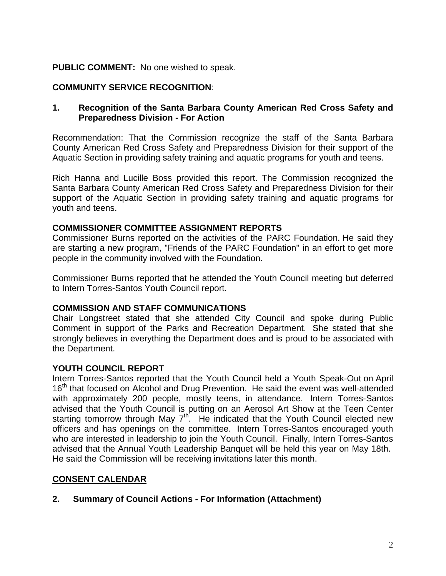### **PUBLIC COMMENT:** No one wished to speak.

### **COMMUNITY SERVICE RECOGNITION**:

### **1. Recognition of the Santa Barbara County American Red Cross Safety and Preparedness Division - For Action**

Recommendation: That the Commission recognize the staff of the Santa Barbara County American Red Cross Safety and Preparedness Division for their support of the Aquatic Section in providing safety training and aquatic programs for youth and teens.

Rich Hanna and Lucille Boss provided this report. The Commission recognized the Santa Barbara County American Red Cross Safety and Preparedness Division for their support of the Aquatic Section in providing safety training and aquatic programs for youth and teens.

#### **COMMISSIONER COMMITTEE ASSIGNMENT REPORTS**

Commissioner Burns reported on the activities of the PARC Foundation. He said they are starting a new program, "Friends of the PARC Foundation" in an effort to get more people in the community involved with the Foundation.

Commissioner Burns reported that he attended the Youth Council meeting but deferred to Intern Torres-Santos Youth Council report.

### **COMMISSION AND STAFF COMMUNICATIONS**

Chair Longstreet stated that she attended City Council and spoke during Public Comment in support of the Parks and Recreation Department. She stated that she strongly believes in everything the Department does and is proud to be associated with the Department.

### **YOUTH COUNCIL REPORT**

Intern Torres-Santos reported that the Youth Council held a Youth Speak-Out on April 16<sup>th</sup> that focused on Alcohol and Drug Prevention. He said the event was well-attended with approximately 200 people, mostly teens, in attendance. Intern Torres-Santos advised that the Youth Council is putting on an Aerosol Art Show at the Teen Center starting tomorrow through May  $7<sup>th</sup>$ . He indicated that the Youth Council elected new officers and has openings on the committee. Intern Torres-Santos encouraged youth who are interested in leadership to join the Youth Council. Finally, Intern Torres-Santos advised that the Annual Youth Leadership Banquet will be held this year on May 18th. He said the Commission will be receiving invitations later this month.

# **CONSENT CALENDAR**

### **2. Summary of Council Actions - For Information (Attachment)**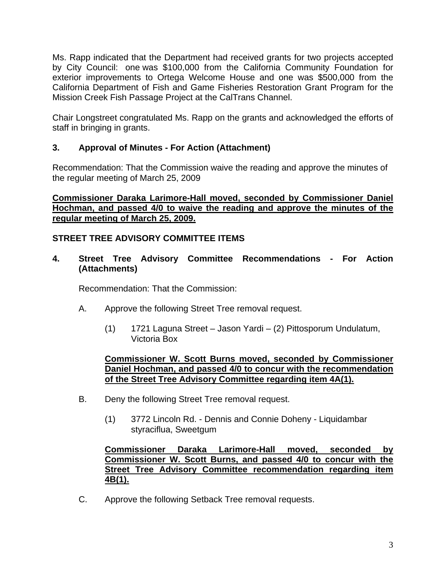Ms. Rapp indicated that the Department had received grants for two projects accepted by City Council: one was \$100,000 from the California Community Foundation for exterior improvements to Ortega Welcome House and one was \$500,000 from the California Department of Fish and Game Fisheries Restoration Grant Program for the Mission Creek Fish Passage Project at the CalTrans Channel.

Chair Longstreet congratulated Ms. Rapp on the grants and acknowledged the efforts of staff in bringing in grants.

# **3. Approval of Minutes - For Action (Attachment)**

Recommendation: That the Commission waive the reading and approve the minutes of the regular meeting of March 25, 2009

**Commissioner Daraka Larimore-Hall moved, seconded by Commissioner Daniel Hochman, and passed 4/0 to waive the reading and approve the minutes of the regular meeting of March 25, 2009.**

# **STREET TREE ADVISORY COMMITTEE ITEMS**

**4. Street Tree Advisory Committee Recommendations - For Action (Attachments)** 

Recommendation: That the Commission:

- A. Approve the following Street Tree removal request.
	- (1) 1721 Laguna Street Jason Yardi (2) Pittosporum Undulatum, Victoria Box

# **Commissioner W. Scott Burns moved, seconded by Commissioner Daniel Hochman, and passed 4/0 to concur with the recommendation of the Street Tree Advisory Committee regarding item 4A(1).**

- B. Deny the following Street Tree removal request.
	- (1) 3772 Lincoln Rd. Dennis and Connie Doheny Liquidambar styraciflua, Sweetgum

## **Commissioner Daraka Larimore-Hall moved, seconded by Commissioner W. Scott Burns, and passed 4/0 to concur with the Street Tree Advisory Committee recommendation regarding item 4B(1).**

C. Approve the following Setback Tree removal requests.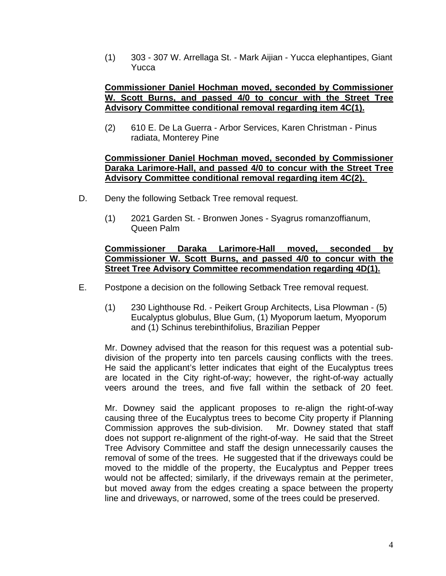(1) 303 - 307 W. Arrellaga St. - Mark Aijian - Yucca elephantipes, Giant Yucca

### **Commissioner Daniel Hochman moved, seconded by Commissioner W. Scott Burns, and passed 4/0 to concur with the Street Tree Advisory Committee conditional removal regarding item 4C(1).**

(2) 610 E. De La Guerra - Arbor Services, Karen Christman - Pinus radiata, Monterey Pine

### **Commissioner Daniel Hochman moved, seconded by Commissioner Daraka Larimore-Hall, and passed 4/0 to concur with the Street Tree Advisory Committee conditional removal regarding item 4C(2).**

- D. Deny the following Setback Tree removal request.
	- (1) 2021 Garden St. Bronwen Jones Syagrus romanzoffianum, Queen Palm

## **Commissioner Daraka Larimore-Hall moved, seconded by Commissioner W. Scott Burns, and passed 4/0 to concur with the Street Tree Advisory Committee recommendation regarding 4D(1).**

- E. Postpone a decision on the following Setback Tree removal request.
	- (1) 230 Lighthouse Rd. Peikert Group Architects, Lisa Plowman (5) Eucalyptus globulus, Blue Gum, (1) Myoporum laetum, Myoporum and (1) Schinus terebinthifolius, Brazilian Pepper

Mr. Downey advised that the reason for this request was a potential subdivision of the property into ten parcels causing conflicts with the trees. He said the applicant's letter indicates that eight of the Eucalyptus trees are located in the City right-of-way; however, the right-of-way actually veers around the trees, and five fall within the setback of 20 feet.

Mr. Downey said the applicant proposes to re-align the right-of-way causing three of the Eucalyptus trees to become City property if Planning Commission approves the sub-division. Mr. Downey stated that staff does not support re-alignment of the right-of-way. He said that the Street Tree Advisory Committee and staff the design unnecessarily causes the removal of some of the trees. He suggested that if the driveways could be moved to the middle of the property, the Eucalyptus and Pepper trees would not be affected; similarly, if the driveways remain at the perimeter, but moved away from the edges creating a space between the property line and driveways, or narrowed, some of the trees could be preserved.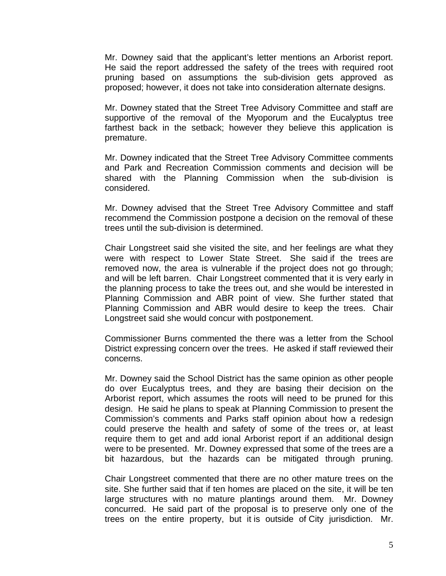Mr. Downey said that the applicant's letter mentions an Arborist report. He said the report addressed the safety of the trees with required root pruning based on assumptions the sub-division gets approved as proposed; however, it does not take into consideration alternate designs.

Mr. Downey stated that the Street Tree Advisory Committee and staff are supportive of the removal of the Myoporum and the Eucalyptus tree farthest back in the setback; however they believe this application is premature.

Mr. Downey indicated that the Street Tree Advisory Committee comments and Park and Recreation Commission comments and decision will be shared with the Planning Commission when the sub-division is considered.

Mr. Downey advised that the Street Tree Advisory Committee and staff recommend the Commission postpone a decision on the removal of these trees until the sub-division is determined.

Chair Longstreet said she visited the site, and her feelings are what they were with respect to Lower State Street. She said if the trees are removed now, the area is vulnerable if the project does not go through; and will be left barren. Chair Longstreet commented that it is very early in the planning process to take the trees out, and she would be interested in Planning Commission and ABR point of view. She further stated that Planning Commission and ABR would desire to keep the trees. Chair Longstreet said she would concur with postponement.

Commissioner Burns commented the there was a letter from the School District expressing concern over the trees. He asked if staff reviewed their concerns.

Mr. Downey said the School District has the same opinion as other people do over Eucalyptus trees, and they are basing their decision on the Arborist report, which assumes the roots will need to be pruned for this design. He said he plans to speak at Planning Commission to present the Commission's comments and Parks staff opinion about how a redesign could preserve the health and safety of some of the trees or, at least require them to get and add ional Arborist report if an additional design were to be presented. Mr. Downey expressed that some of the trees are a bit hazardous, but the hazards can be mitigated through pruning.

Chair Longstreet commented that there are no other mature trees on the site. She further said that if ten homes are placed on the site, it will be ten large structures with no mature plantings around them. Mr. Downey concurred. He said part of the proposal is to preserve only one of the trees on the entire property, but it is outside of City jurisdiction. Mr.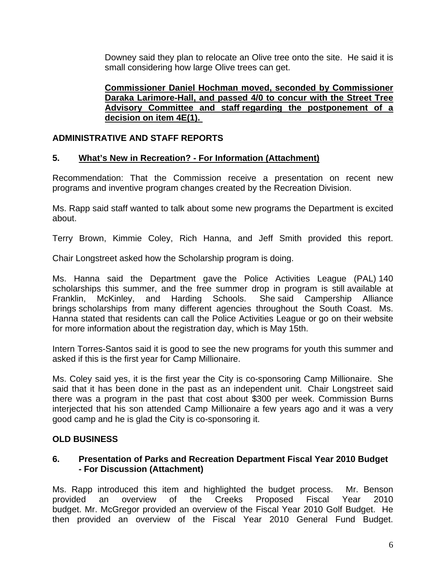Downey said they plan to relocate an Olive tree onto the site. He said it is small considering how large Olive trees can get.

**Commissioner Daniel Hochman moved, seconded by Commissioner Daraka Larimore-Hall, and passed 4/0 to concur with the Street Tree Advisory Committee and staff regarding the postponement of a decision on item 4E(1).** 

## **ADMINISTRATIVE AND STAFF REPORTS**

# **5. What's New in Recreation? - For Information (Attachment)**

Recommendation: That the Commission receive a presentation on recent new programs and inventive program changes created by the Recreation Division.

Ms. Rapp said staff wanted to talk about some new programs the Department is excited about.

Terry Brown, Kimmie Coley, Rich Hanna, and Jeff Smith provided this report.

Chair Longstreet asked how the Scholarship program is doing.

Ms. Hanna said the Department gave the Police Activities League (PAL) 140 scholarships this summer, and the free summer drop in program is still available at Franklin, McKinley, and Harding Schools. She said Campership Alliance brings scholarships from many different agencies throughout the South Coast. Ms. Hanna stated that residents can call the Police Activities League or go on their website for more information about the registration day, which is May 15th.

Intern Torres-Santos said it is good to see the new programs for youth this summer and asked if this is the first year for Camp Millionaire.

Ms. Coley said yes, it is the first year the City is co-sponsoring Camp Millionaire. She said that it has been done in the past as an independent unit. Chair Longstreet said there was a program in the past that cost about \$300 per week. Commission Burns interjected that his son attended Camp Millionaire a few years ago and it was a very good camp and he is glad the City is co-sponsoring it.

### **OLD BUSINESS**

# **6. Presentation of Parks and Recreation Department Fiscal Year 2010 Budget - For Discussion (Attachment)**

Ms. Rapp introduced this item and highlighted the budget process. Mr. Benson provided an overview of the Creeks Proposed Fiscal Year 2010 budget. Mr. McGregor provided an overview of the Fiscal Year 2010 Golf Budget. He then provided an overview of the Fiscal Year 2010 General Fund Budget.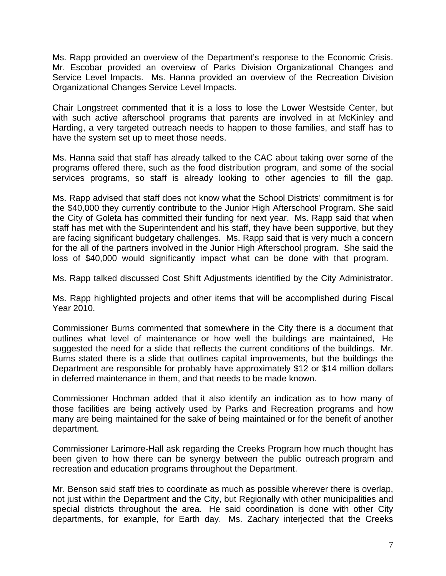Ms. Rapp provided an overview of the Department's response to the Economic Crisis. Mr. Escobar provided an overview of Parks Division Organizational Changes and Service Level Impacts. Ms. Hanna provided an overview of the Recreation Division Organizational Changes Service Level Impacts.

Chair Longstreet commented that it is a loss to lose the Lower Westside Center, but with such active afterschool programs that parents are involved in at McKinley and Harding, a very targeted outreach needs to happen to those families, and staff has to have the system set up to meet those needs.

Ms. Hanna said that staff has already talked to the CAC about taking over some of the programs offered there, such as the food distribution program, and some of the social services programs, so staff is already looking to other agencies to fill the gap.

Ms. Rapp advised that staff does not know what the School Districts' commitment is for the \$40,000 they currently contribute to the Junior High Afterschool Program. She said the City of Goleta has committed their funding for next year. Ms. Rapp said that when staff has met with the Superintendent and his staff, they have been supportive, but they are facing significant budgetary challenges. Ms. Rapp said that is very much a concern for the all of the partners involved in the Junior High Afterschool program. She said the loss of \$40,000 would significantly impact what can be done with that program.

Ms. Rapp talked discussed Cost Shift Adjustments identified by the City Administrator.

Ms. Rapp highlighted projects and other items that will be accomplished during Fiscal Year 2010.

Commissioner Burns commented that somewhere in the City there is a document that outlines what level of maintenance or how well the buildings are maintained, He suggested the need for a slide that reflects the current conditions of the buildings. Mr. Burns stated there is a slide that outlines capital improvements, but the buildings the Department are responsible for probably have approximately \$12 or \$14 million dollars in deferred maintenance in them, and that needs to be made known.

Commissioner Hochman added that it also identify an indication as to how many of those facilities are being actively used by Parks and Recreation programs and how many are being maintained for the sake of being maintained or for the benefit of another department.

Commissioner Larimore-Hall ask regarding the Creeks Program how much thought has been given to how there can be synergy between the public outreach program and recreation and education programs throughout the Department.

Mr. Benson said staff tries to coordinate as much as possible wherever there is overlap, not just within the Department and the City, but Regionally with other municipalities and special districts throughout the area. He said coordination is done with other City departments, for example, for Earth day. Ms. Zachary interjected that the Creeks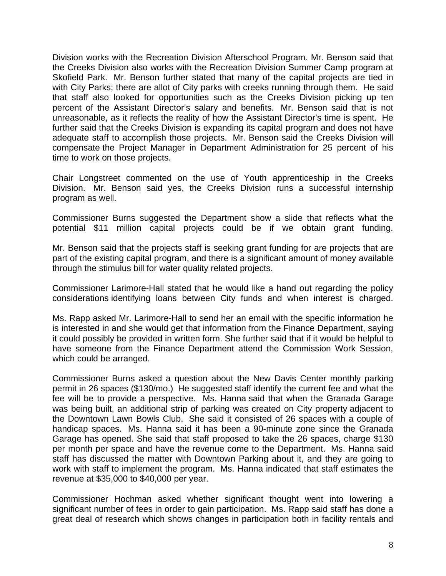Division works with the Recreation Division Afterschool Program. Mr. Benson said that the Creeks Division also works with the Recreation Division Summer Camp program at Skofield Park. Mr. Benson further stated that many of the capital projects are tied in with City Parks; there are allot of City parks with creeks running through them. He said that staff also looked for opportunities such as the Creeks Division picking up ten percent of the Assistant Director's salary and benefits. Mr. Benson said that is not unreasonable, as it reflects the reality of how the Assistant Director's time is spent. He further said that the Creeks Division is expanding its capital program and does not have adequate staff to accomplish those projects. Mr. Benson said the Creeks Division will compensate the Project Manager in Department Administration for 25 percent of his time to work on those projects.

Chair Longstreet commented on the use of Youth apprenticeship in the Creeks Division. Mr. Benson said yes, the Creeks Division runs a successful internship program as well.

Commissioner Burns suggested the Department show a slide that reflects what the potential \$11 million capital projects could be if we obtain grant funding.

Mr. Benson said that the projects staff is seeking grant funding for are projects that are part of the existing capital program, and there is a significant amount of money available through the stimulus bill for water quality related projects.

Commissioner Larimore-Hall stated that he would like a hand out regarding the policy considerations identifying loans between City funds and when interest is charged.

Ms. Rapp asked Mr. Larimore-Hall to send her an email with the specific information he is interested in and she would get that information from the Finance Department, saying it could possibly be provided in written form. She further said that if it would be helpful to have someone from the Finance Department attend the Commission Work Session, which could be arranged.

Commissioner Burns asked a question about the New Davis Center monthly parking permit in 26 spaces (\$130/mo.) He suggested staff identify the current fee and what the fee will be to provide a perspective. Ms. Hanna said that when the Granada Garage was being built, an additional strip of parking was created on City property adjacent to the Downtown Lawn Bowls Club. She said it consisted of 26 spaces with a couple of handicap spaces. Ms. Hanna said it has been a 90-minute zone since the Granada Garage has opened. She said that staff proposed to take the 26 spaces, charge \$130 per month per space and have the revenue come to the Department. Ms. Hanna said staff has discussed the matter with Downtown Parking about it, and they are going to work with staff to implement the program. Ms. Hanna indicated that staff estimates the revenue at \$35,000 to \$40,000 per year.

Commissioner Hochman asked whether significant thought went into lowering a significant number of fees in order to gain participation. Ms. Rapp said staff has done a great deal of research which shows changes in participation both in facility rentals and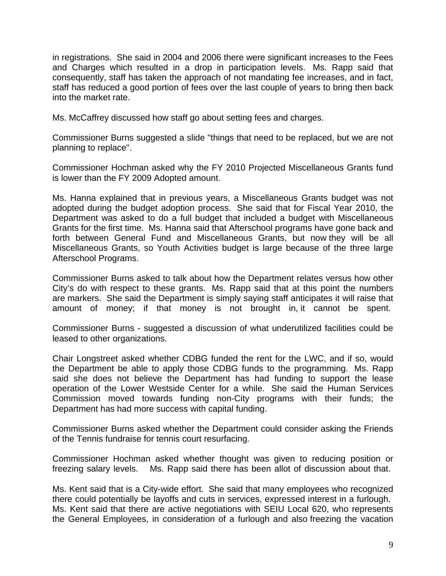in registrations. She said in 2004 and 2006 there were significant increases to the Fees and Charges which resulted in a drop in participation levels. Ms. Rapp said that consequently, staff has taken the approach of not mandating fee increases, and in fact, staff has reduced a good portion of fees over the last couple of years to bring then back into the market rate.

Ms. McCaffrey discussed how staff go about setting fees and charges.

Commissioner Burns suggested a slide "things that need to be replaced, but we are not planning to replace".

Commissioner Hochman asked why the FY 2010 Projected Miscellaneous Grants fund is lower than the FY 2009 Adopted amount.

Ms. Hanna explained that in previous years, a Miscellaneous Grants budget was not adopted during the budget adoption process. She said that for Fiscal Year 2010, the Department was asked to do a full budget that included a budget with Miscellaneous Grants for the first time. Ms. Hanna said that Afterschool programs have gone back and forth between General Fund and Miscellaneous Grants, but now they will be all Miscellaneous Grants, so Youth Activities budget is large because of the three large Afterschool Programs.

Commissioner Burns asked to talk about how the Department relates versus how other City's do with respect to these grants. Ms. Rapp said that at this point the numbers are markers. She said the Department is simply saying staff anticipates it will raise that amount of money; if that money is not brought in, it cannot be spent.

Commissioner Burns - suggested a discussion of what underutilized facilities could be leased to other organizations.

Chair Longstreet asked whether CDBG funded the rent for the LWC, and if so, would the Department be able to apply those CDBG funds to the programming. Ms. Rapp said she does not believe the Department has had funding to support the lease operation of the Lower Westside Center for a while. She said the Human Services Commission moved towards funding non-City programs with their funds; the Department has had more success with capital funding.

Commissioner Burns asked whether the Department could consider asking the Friends of the Tennis fundraise for tennis court resurfacing.

Commissioner Hochman asked whether thought was given to reducing position or freezing salary levels. Ms. Rapp said there has been allot of discussion about that.

Ms. Kent said that is a City-wide effort. She said that many employees who recognized there could potentially be layoffs and cuts in services, expressed interest in a furlough. Ms. Kent said that there are active negotiations with SEIU Local 620, who represents the General Employees, in consideration of a furlough and also freezing the vacation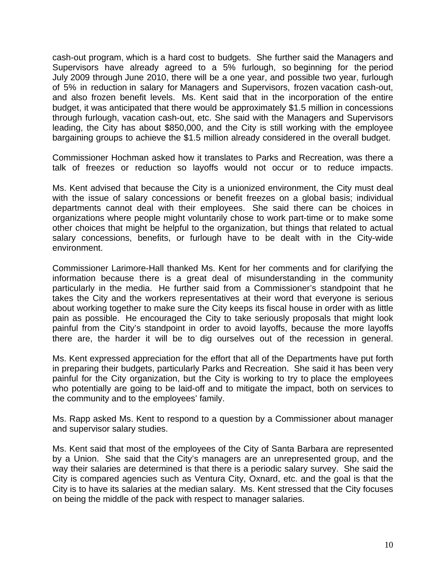cash-out program, which is a hard cost to budgets. She further said the Managers and Supervisors have already agreed to a 5% furlough, so beginning for the period July 2009 through June 2010, there will be a one year, and possible two year, furlough of 5% in reduction in salary for Managers and Supervisors, frozen vacation cash-out, and also frozen benefit levels. Ms. Kent said that in the incorporation of the entire budget, it was anticipated that there would be approximately \$1.5 million in concessions through furlough, vacation cash-out, etc. She said with the Managers and Supervisors leading, the City has about \$850,000, and the City is still working with the employee bargaining groups to achieve the \$1.5 million already considered in the overall budget.

Commissioner Hochman asked how it translates to Parks and Recreation, was there a talk of freezes or reduction so layoffs would not occur or to reduce impacts.

Ms. Kent advised that because the City is a unionized environment, the City must deal with the issue of salary concessions or benefit freezes on a global basis; individual departments cannot deal with their employees. She said there can be choices in organizations where people might voluntarily chose to work part-time or to make some other choices that might be helpful to the organization, but things that related to actual salary concessions, benefits, or furlough have to be dealt with in the City-wide environment.

Commissioner Larimore-Hall thanked Ms. Kent for her comments and for clarifying the information because there is a great deal of misunderstanding in the community particularly in the media. He further said from a Commissioner's standpoint that he takes the City and the workers representatives at their word that everyone is serious about working together to make sure the City keeps its fiscal house in order with as little pain as possible. He encouraged the City to take seriously proposals that might look painful from the City's standpoint in order to avoid layoffs, because the more layoffs there are, the harder it will be to dig ourselves out of the recession in general.

Ms. Kent expressed appreciation for the effort that all of the Departments have put forth in preparing their budgets, particularly Parks and Recreation. She said it has been very painful for the City organization, but the City is working to try to place the employees who potentially are going to be laid-off and to mitigate the impact, both on services to the community and to the employees' family.

Ms. Rapp asked Ms. Kent to respond to a question by a Commissioner about manager and supervisor salary studies.

Ms. Kent said that most of the employees of the City of Santa Barbara are represented by a Union. She said that the City's managers are an unrepresented group, and the way their salaries are determined is that there is a periodic salary survey. She said the City is compared agencies such as Ventura City, Oxnard, etc. and the goal is that the City is to have its salaries at the median salary. Ms. Kent stressed that the City focuses on being the middle of the pack with respect to manager salaries.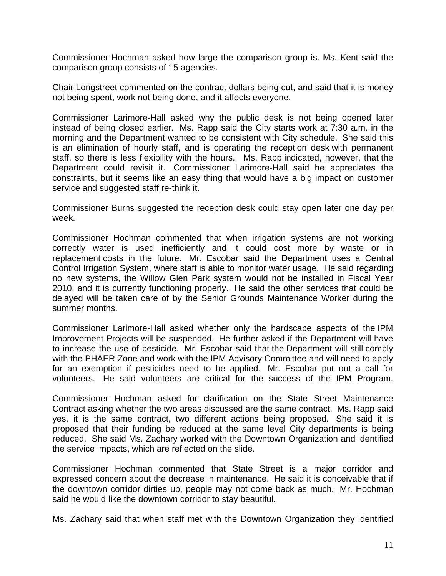Commissioner Hochman asked how large the comparison group is. Ms. Kent said the comparison group consists of 15 agencies.

Chair Longstreet commented on the contract dollars being cut, and said that it is money not being spent, work not being done, and it affects everyone.

Commissioner Larimore-Hall asked why the public desk is not being opened later instead of being closed earlier. Ms. Rapp said the City starts work at 7:30 a.m. in the morning and the Department wanted to be consistent with City schedule. She said this is an elimination of hourly staff, and is operating the reception desk with permanent staff, so there is less flexibility with the hours. Ms. Rapp indicated, however, that the Department could revisit it. Commissioner Larimore-Hall said he appreciates the constraints, but it seems like an easy thing that would have a big impact on customer service and suggested staff re-think it.

Commissioner Burns suggested the reception desk could stay open later one day per week.

Commissioner Hochman commented that when irrigation systems are not working correctly water is used inefficiently and it could cost more by waste or in replacement costs in the future. Mr. Escobar said the Department uses a Central Control Irrigation System, where staff is able to monitor water usage. He said regarding no new systems, the Willow Glen Park system would not be installed in Fiscal Year 2010, and it is currently functioning properly. He said the other services that could be delayed will be taken care of by the Senior Grounds Maintenance Worker during the summer months.

Commissioner Larimore-Hall asked whether only the hardscape aspects of the IPM Improvement Projects will be suspended. He further asked if the Department will have to increase the use of pesticide. Mr. Escobar said that the Department will still comply with the PHAER Zone and work with the IPM Advisory Committee and will need to apply for an exemption if pesticides need to be applied. Mr. Escobar put out a call for volunteers. He said volunteers are critical for the success of the IPM Program.

Commissioner Hochman asked for clarification on the State Street Maintenance Contract asking whether the two areas discussed are the same contract. Ms. Rapp said yes, it is the same contract, two different actions being proposed. She said it is proposed that their funding be reduced at the same level City departments is being reduced. She said Ms. Zachary worked with the Downtown Organization and identified the service impacts, which are reflected on the slide.

Commissioner Hochman commented that State Street is a major corridor and expressed concern about the decrease in maintenance. He said it is conceivable that if the downtown corridor dirties up, people may not come back as much. Mr. Hochman said he would like the downtown corridor to stay beautiful.

Ms. Zachary said that when staff met with the Downtown Organization they identified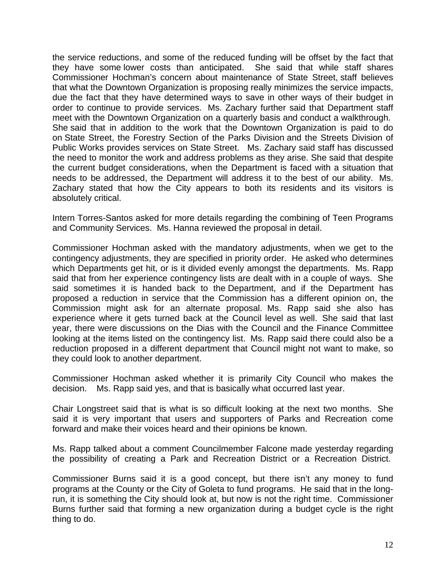the service reductions, and some of the reduced funding will be offset by the fact that they have some lower costs than anticipated. She said that while staff shares Commissioner Hochman's concern about maintenance of State Street, staff believes that what the Downtown Organization is proposing really minimizes the service impacts, due the fact that they have determined ways to save in other ways of their budget in order to continue to provide services. Ms. Zachary further said that Department staff meet with the Downtown Organization on a quarterly basis and conduct a walkthrough. She said that in addition to the work that the Downtown Organization is paid to do on State Street, the Forestry Section of the Parks Division and the Streets Division of Public Works provides services on State Street. Ms. Zachary said staff has discussed the need to monitor the work and address problems as they arise. She said that despite the current budget considerations, when the Department is faced with a situation that needs to be addressed, the Department will address it to the best of our ability. Ms. Zachary stated that how the City appears to both its residents and its visitors is absolutely critical.

Intern Torres-Santos asked for more details regarding the combining of Teen Programs and Community Services. Ms. Hanna reviewed the proposal in detail.

Commissioner Hochman asked with the mandatory adjustments, when we get to the contingency adjustments, they are specified in priority order. He asked who determines which Departments get hit, or is it divided evenly amongst the departments. Ms. Rapp said that from her experience contingency lists are dealt with in a couple of ways. She said sometimes it is handed back to the Department, and if the Department has proposed a reduction in service that the Commission has a different opinion on, the Commission might ask for an alternate proposal. Ms. Rapp said she also has experience where it gets turned back at the Council level as well. She said that last year, there were discussions on the Dias with the Council and the Finance Committee looking at the items listed on the contingency list. Ms. Rapp said there could also be a reduction proposed in a different department that Council might not want to make, so they could look to another department.

Commissioner Hochman asked whether it is primarily City Council who makes the decision. Ms. Rapp said yes, and that is basically what occurred last year.

Chair Longstreet said that is what is so difficult looking at the next two months. She said it is very important that users and supporters of Parks and Recreation come forward and make their voices heard and their opinions be known.

Ms. Rapp talked about a comment Councilmember Falcone made yesterday regarding the possibility of creating a Park and Recreation District or a Recreation District.

Commissioner Burns said it is a good concept, but there isn't any money to fund programs at the County or the City of Goleta to fund programs. He said that in the longrun, it is something the City should look at, but now is not the right time. Commissioner Burns further said that forming a new organization during a budget cycle is the right thing to do.